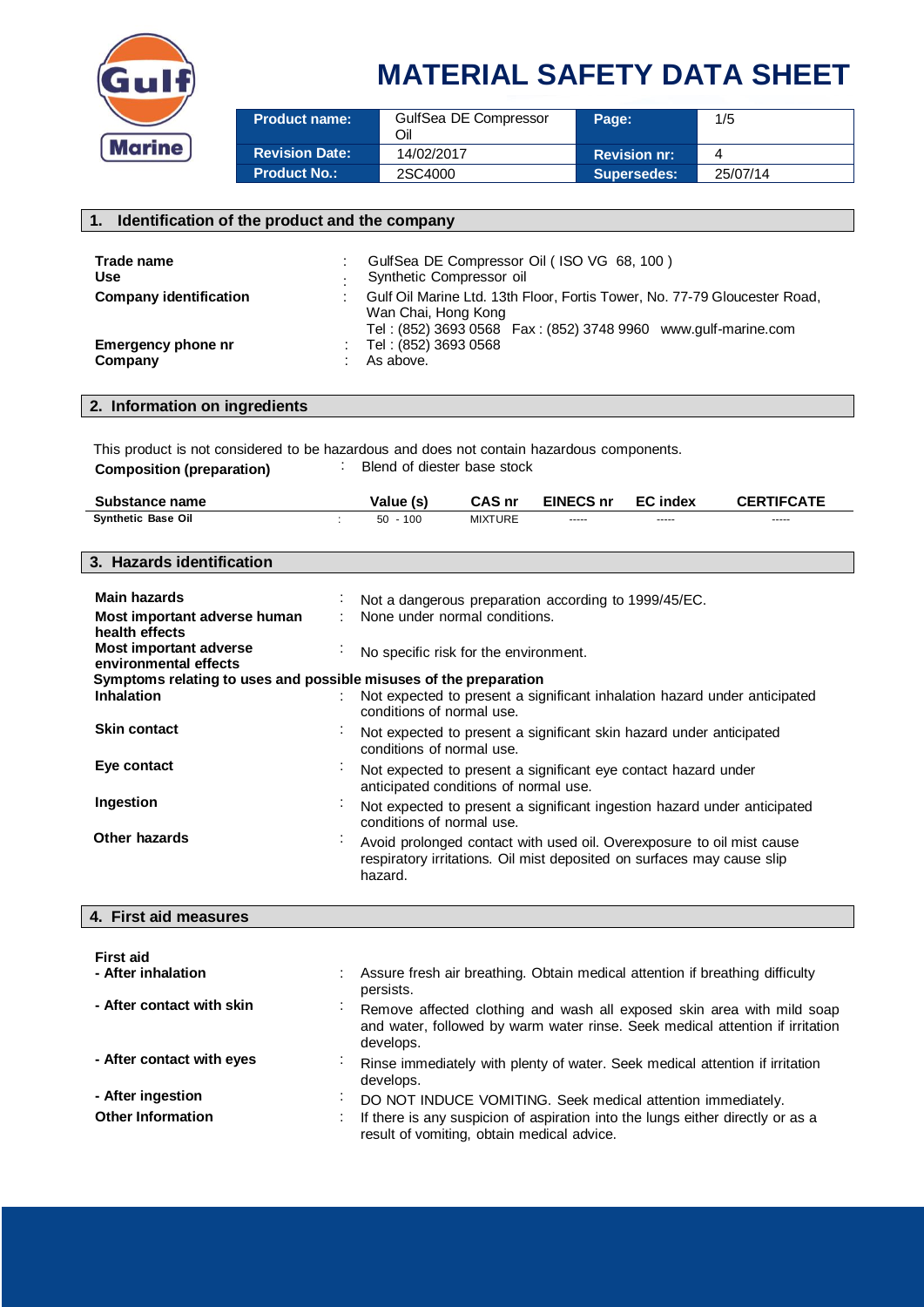

| <b>Product name:</b>  | GulfSea DE Compressor<br>Oil | Page:               | 1/5      |
|-----------------------|------------------------------|---------------------|----------|
| <b>Revision Date:</b> | 14/02/2017                   | <b>Revision nr:</b> |          |
| Product No.: <b>\</b> | 2SC4000                      | Supersedes:         | 25/07/14 |

| 1. Identification of the product and the company |                                                                                                                                                                         |  |  |  |
|--------------------------------------------------|-------------------------------------------------------------------------------------------------------------------------------------------------------------------------|--|--|--|
|                                                  |                                                                                                                                                                         |  |  |  |
| Trade name                                       | GulfSea DE Compressor Oil (ISO VG 68, 100)                                                                                                                              |  |  |  |
| Use                                              | Synthetic Compressor oil                                                                                                                                                |  |  |  |
| <b>Company identification</b>                    | Gulf Oil Marine Ltd. 13th Floor, Fortis Tower, No. 77-79 Gloucester Road,<br>Wan Chai, Hong Kong<br>Tel: (852) 3693 0568    Fax: (852) 3748 9960    www.gulf-marine.com |  |  |  |
| <b>Emergency phone nr</b><br>Company             | Tel: (852) 3693 0568<br>As above.                                                                                                                                       |  |  |  |

### **2. Information on ingredients**

This product is not considered to be hazardous and does not contain hazardous components. **Composition (preparation)** : Blend of diester base stock

| Substance name     | Value (s) | CAS nr  | <b>EINECS nr</b> | <b>EC</b> index | <b>CERTIFCATE</b> |
|--------------------|-----------|---------|------------------|-----------------|-------------------|
| Svnthetic Base Oil | 100<br>50 | MIXTURE | $- - - - -$      | $- - - - -$     | -----             |

#### **3. Hazards identification**

| <b>Main hazards</b>                                               | ÷.             | Not a dangerous preparation according to 1999/45/EC.                                                                                                       |
|-------------------------------------------------------------------|----------------|------------------------------------------------------------------------------------------------------------------------------------------------------------|
| Most important adverse human<br>health effects                    |                | : None under normal conditions.                                                                                                                            |
| Most important adverse<br>environmental effects                   |                | No specific risk for the environment.                                                                                                                      |
| Symptoms relating to uses and possible misuses of the preparation |                |                                                                                                                                                            |
| <b>Inhalation</b>                                                 |                | Not expected to present a significant inhalation hazard under anticipated<br>conditions of normal use.                                                     |
| <b>Skin contact</b>                                               | $\blacksquare$ | Not expected to present a significant skin hazard under anticipated<br>conditions of normal use.                                                           |
| Eye contact                                                       |                | Not expected to present a significant eye contact hazard under<br>anticipated conditions of normal use.                                                    |
| Ingestion                                                         |                | Not expected to present a significant ingestion hazard under anticipated<br>conditions of normal use.                                                      |
| Other hazards                                                     | $\sim$         | Avoid prolonged contact with used oil. Overexposure to oil mist cause<br>respiratory irritations. Oil mist deposited on surfaces may cause slip<br>hazard. |

### **4. First aid measures**

| First aid<br>- After inhalation | Assure fresh air breathing. Obtain medical attention if breathing difficulty<br>persists.                                                                            |
|---------------------------------|----------------------------------------------------------------------------------------------------------------------------------------------------------------------|
| - After contact with skin       | Remove affected clothing and wash all exposed skin area with mild soap<br>and water, followed by warm water rinse. Seek medical attention if irritation<br>develops. |
| - After contact with eyes       | Rinse immediately with plenty of water. Seek medical attention if irritation<br>develops.                                                                            |
| - After ingestion               | DO NOT INDUCE VOMITING. Seek medical attention immediately.                                                                                                          |
| <b>Other Information</b>        | If there is any suspicion of aspiration into the lungs either directly or as a<br>$\sim$<br>result of vomiting, obtain medical advice.                               |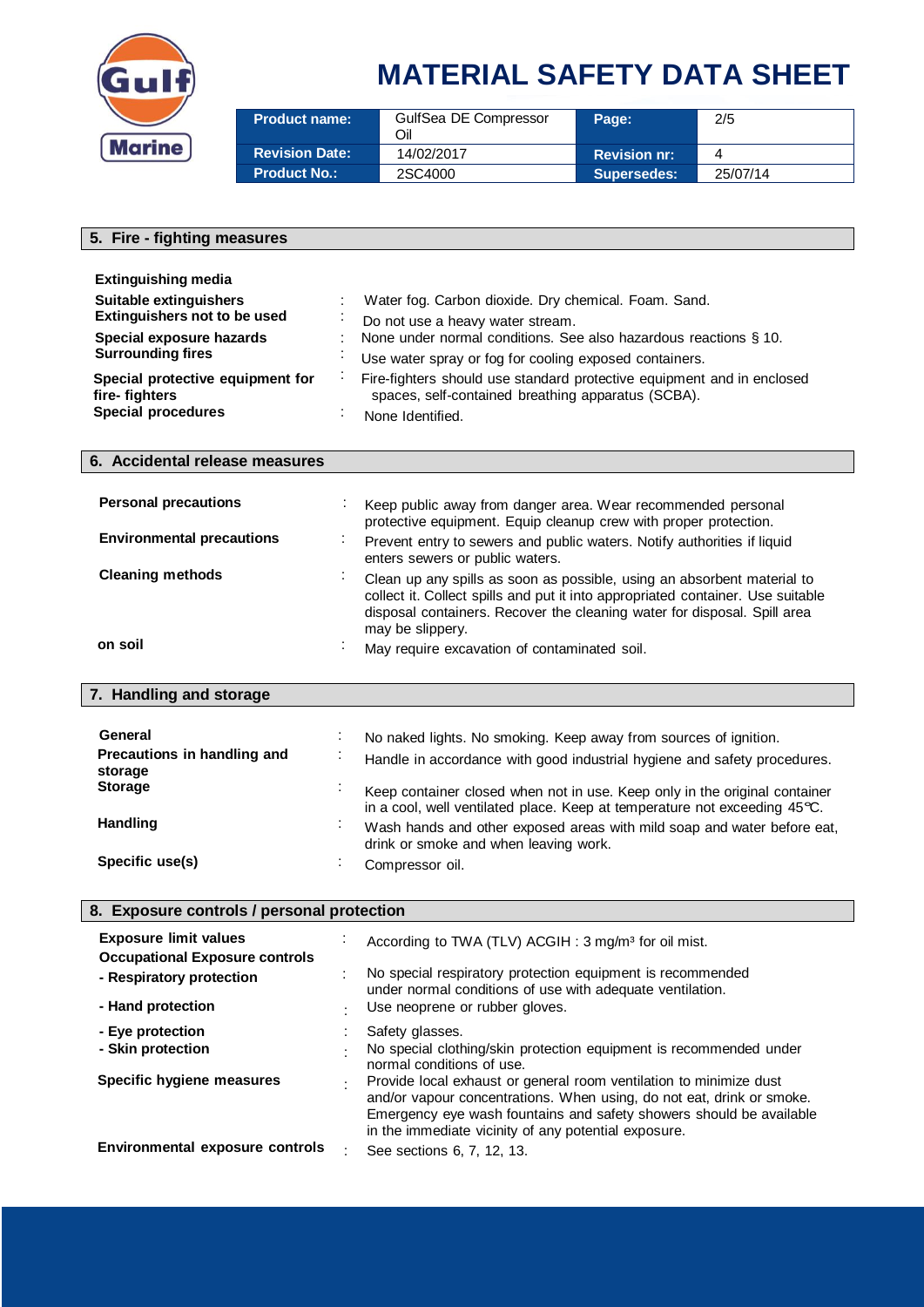

| <b>Product name:</b>  | GulfSea DE Compressor<br>Эil | Page:               | 2/5      |
|-----------------------|------------------------------|---------------------|----------|
| <b>Revision Date:</b> | 14/02/2017                   | <b>Revision nr:</b> |          |
| <b>Product No.:</b>   | 2SC4000                      | Supersedes:         | 25/07/14 |

### **5. Fire - fighting measures Extinguishing media Suitable extinguishers** : Water fog. Carbon dioxide. Dry chemical. Foam. Sand. **Extinguishers not to be used** : Do not use a heavy water stream.<br> **Special exposure hazards** : None under normal conditions. See None under normal conditions. See also hazardous reactions § 10. **Surrounding fires Surrounding fires i** Use water spray or fog for cooling exposed containers. **Special protective equipment for fire- fighters** : Fire-fighters should use standard protective equipment and in enclosed spaces, self-contained breathing apparatus (SCBA). **Special procedures** : None Identified. **6. Accidental release measures Personal precautions** : Keep public away from danger area. Wear recommended personal protective equipment. Equip cleanup crew with proper protection. **Environmental precautions** : Prevent entry to sewers and public waters. Notify authorities if liquid enters sewers or public waters. **Cleaning methods** : Clean up any spills as soon as possible, using an absorbent material to collect it. Collect spills and put it into appropriated container. Use suitable disposal containers. Recover the cleaning water for disposal. Spill area may be slippery. **on soil on soil on soil May require excavation of contaminated soil. 7. Handling and storage** General **General** : No naked lights. No smoking. Keep away from sources of ignition. **Precautions in handling and storage** : Handle in accordance with good industrial hygiene and safety procedures. **Storage** Subsetsmann in the state of the container closed when not in use. Keep only in the original container in <sup>a</sup> cool, well ventilated place. Keep at temperature not exceeding 45°C. **Handling Example 20 Handling Expanding EXECUTE:** Wash hands and other exposed areas with mild soap and water before eat, drink or smoke and when leaving work.

#### **8. Exposure controls / personal protection**

Specific use(s) **Example 2** : Compressor oil.

| <b>Exposure limit values</b><br><b>Occupational Exposure controls</b> |   | According to TWA (TLV) ACGIH: 3 mg/m <sup>3</sup> for oil mist.                                                                                                                                                                                                            |
|-----------------------------------------------------------------------|---|----------------------------------------------------------------------------------------------------------------------------------------------------------------------------------------------------------------------------------------------------------------------------|
| - Respiratory protection                                              |   | No special respiratory protection equipment is recommended<br>under normal conditions of use with adequate ventilation.                                                                                                                                                    |
| - Hand protection                                                     |   | Use neoprene or rubber gloves.                                                                                                                                                                                                                                             |
| - Eye protection<br>- Skin protection                                 |   | Safety glasses.<br>No special clothing/skin protection equipment is recommended under<br>normal conditions of use.                                                                                                                                                         |
| Specific hygiene measures                                             | ٠ | Provide local exhaust or general room ventilation to minimize dust<br>and/or vapour concentrations. When using, do not eat, drink or smoke.<br>Emergency eye wash fountains and safety showers should be available<br>in the immediate vicinity of any potential exposure. |
| Environmental exposure controls                                       |   | See sections 6, 7, 12, 13.                                                                                                                                                                                                                                                 |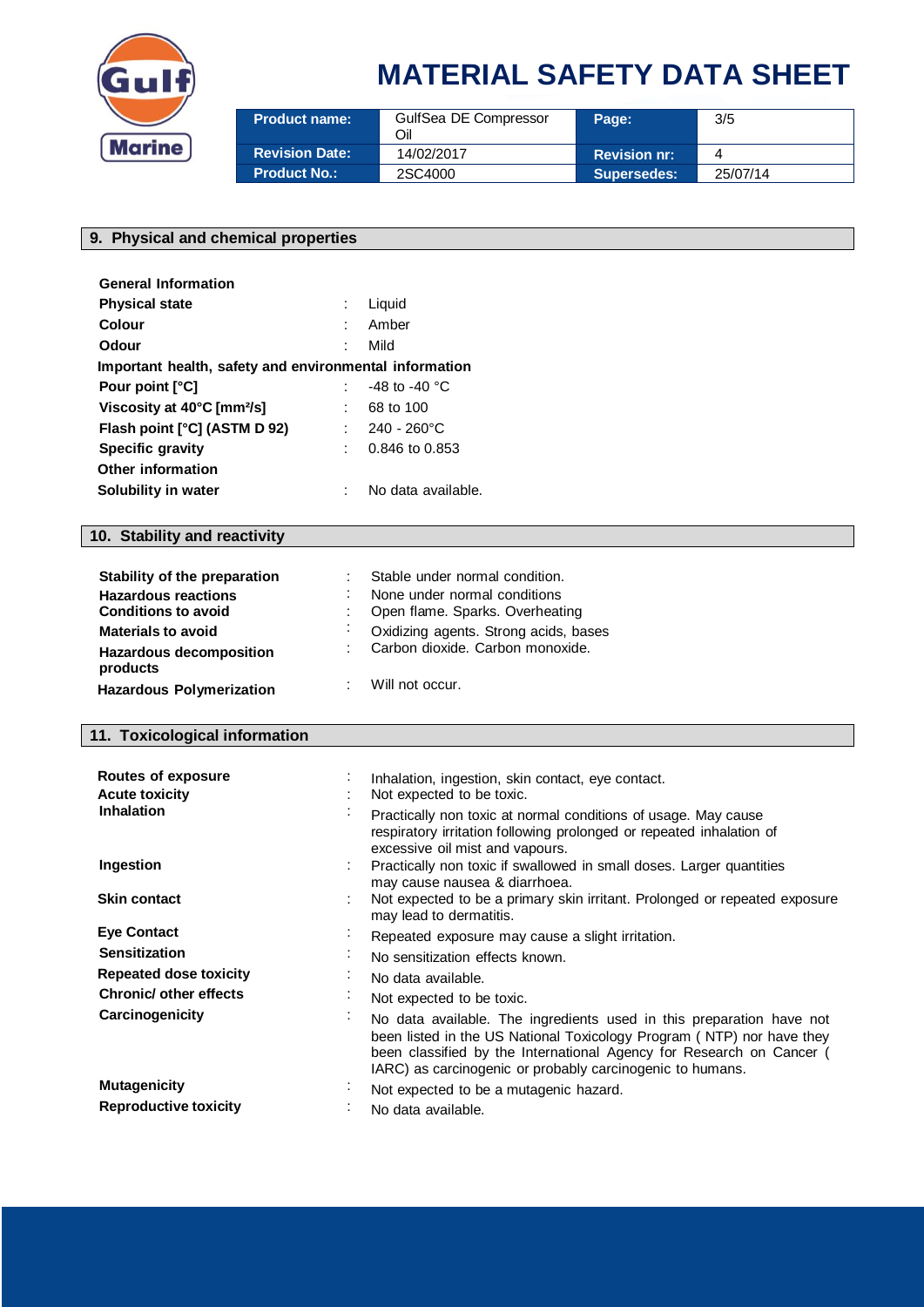

| <b>Product name:</b>  | GulfSea DE Compressor<br>Oil | Page:               | 3/5      |
|-----------------------|------------------------------|---------------------|----------|
| <b>Revision Date:</b> | 14/02/2017                   | <b>Revision nr:</b> |          |
| <b>Product No.:</b>   | 2SC4000                      | Supersedes:         | 25/07/14 |

#### **9. Physical and chemical properties**

| <b>General Information</b>                             |                         |  |
|--------------------------------------------------------|-------------------------|--|
| <b>Physical state</b>                                  | Liquid                  |  |
| Colour                                                 | Amber                   |  |
| Odour                                                  | Mild                    |  |
| Important health, safety and environmental information |                         |  |
| Pour point [°C]                                        | -48 to -40 $^{\circ}$ C |  |
| Viscosity at 40°C [mm <sup>2</sup> /s]                 | 68 to 100               |  |
| Flash point [°C] (ASTM D 92)                           | $240 - 260^{\circ}$ C   |  |
| Specific gravity                                       | 0.846 to 0.853          |  |
| Other information                                      |                         |  |
| Solubility in water                                    | No data available.      |  |

### **10. Stability and reactivity**

| Stability of the preparation                                            |        | : Stable under normal condition.                                            |
|-------------------------------------------------------------------------|--------|-----------------------------------------------------------------------------|
| <b>Hazardous reactions</b><br><b>Conditions to avoid</b>                |        | None under normal conditions<br>: Open flame. Sparks. Overheating           |
| <b>Materials to avoid</b><br><b>Hazardous decomposition</b><br>products | $\sim$ | Oxidizing agents. Strong acids, bases<br>: Carbon dioxide. Carbon monoxide. |
| <b>Hazardous Polymerization</b>                                         |        | Will not occur.                                                             |

### **11. Toxicological information**

| Routes of exposure                         | Inhalation, ingestion, skin contact, eye contact.                                                                                                                                                                                                                                  |  |  |  |
|--------------------------------------------|------------------------------------------------------------------------------------------------------------------------------------------------------------------------------------------------------------------------------------------------------------------------------------|--|--|--|
| <b>Acute toxicity</b>                      | Not expected to be toxic.                                                                                                                                                                                                                                                          |  |  |  |
| <b>Inhalation</b>                          | Practically non toxic at normal conditions of usage. May cause<br>respiratory irritation following prolonged or repeated inhalation of<br>excessive oil mist and vapours.                                                                                                          |  |  |  |
| Ingestion                                  | Practically non toxic if swallowed in small doses. Larger quantities<br>may cause nausea & diarrhoea.                                                                                                                                                                              |  |  |  |
| <b>Skin contact</b>                        | Not expected to be a primary skin irritant. Prolonged or repeated exposure<br>may lead to dermatitis.                                                                                                                                                                              |  |  |  |
| <b>Eye Contact</b><br>$\bullet$            | Repeated exposure may cause a slight irritation.                                                                                                                                                                                                                                   |  |  |  |
| <b>Sensitization</b>                       | No sensitization effects known.                                                                                                                                                                                                                                                    |  |  |  |
| Repeated dose toxicity<br>$\bullet$        | No data available.                                                                                                                                                                                                                                                                 |  |  |  |
| <b>Chronic/ other effects</b><br>$\bullet$ | Not expected to be toxic.                                                                                                                                                                                                                                                          |  |  |  |
| Carcinogenicity<br>$\blacksquare$          | No data available. The ingredients used in this preparation have not<br>been listed in the US National Toxicology Program (NTP) nor have they<br>been classified by the International Agency for Research on Cancer (<br>IARC) as carcinogenic or probably carcinogenic to humans. |  |  |  |
| <b>Mutagenicity</b><br>$\sim$              | Not expected to be a mutagenic hazard.                                                                                                                                                                                                                                             |  |  |  |
| <b>Reproductive toxicity</b>               | No data available.                                                                                                                                                                                                                                                                 |  |  |  |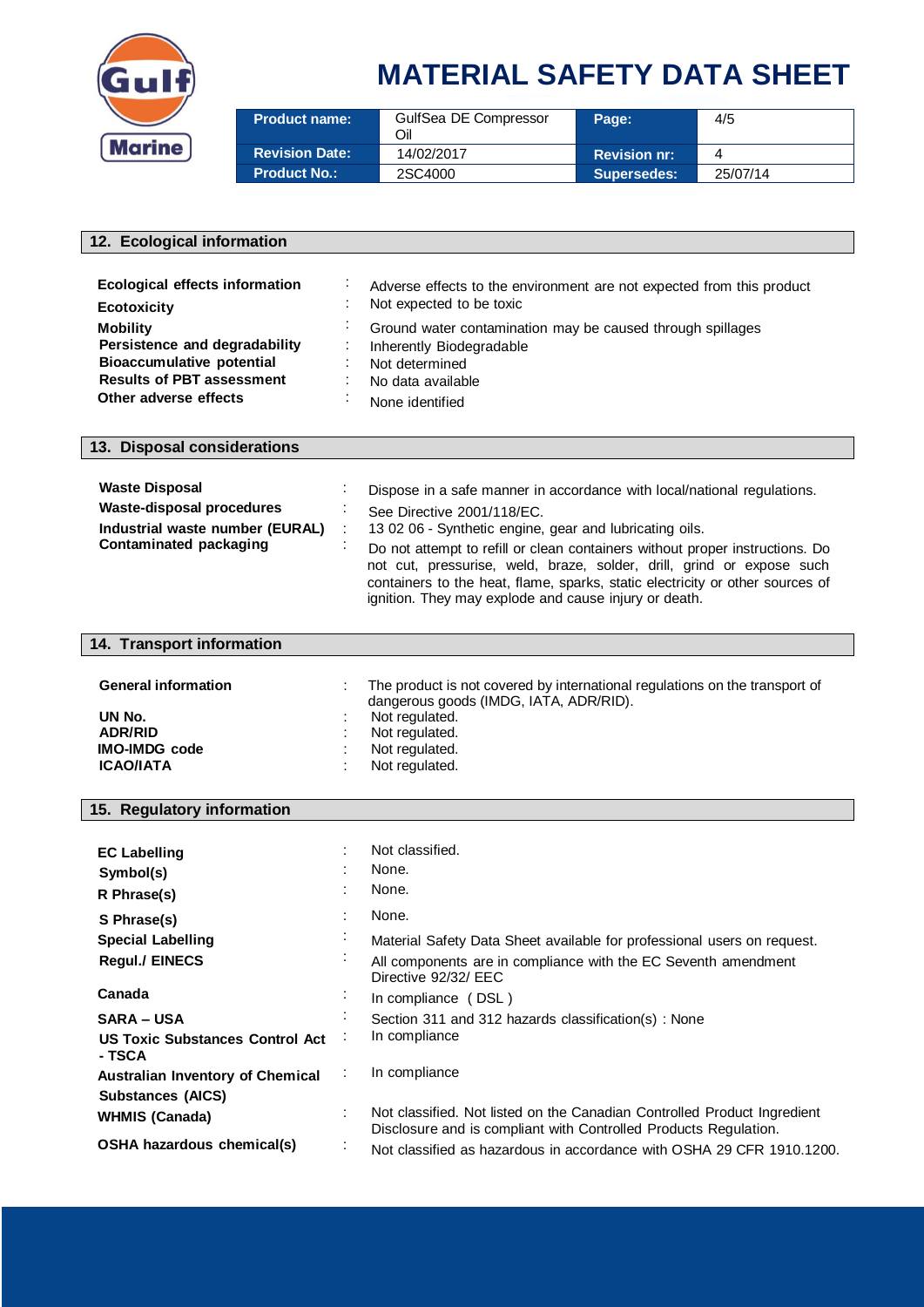

| <b>Product name:</b>  | GulfSea DE Compressor<br>Oil | Page:               | 4/5      |
|-----------------------|------------------------------|---------------------|----------|
| <b>Revision Date:</b> | 14/02/2017                   | <b>Revision nr:</b> | 4        |
| <b>Product No.:</b>   | 2SC4000                      | <b>Supersedes:</b>  | 25/07/14 |

#### **12. Ecological information**

| <b>Ecological effects information</b><br><b>Ecotoxicity</b>                                                                                       | $\cdot$ | Adverse effects to the environment are not expected from this product<br>Not expected to be toxic                                                |
|---------------------------------------------------------------------------------------------------------------------------------------------------|---------|--------------------------------------------------------------------------------------------------------------------------------------------------|
| <b>Mobility</b><br>Persistence and degradability<br><b>Bioaccumulative potential</b><br><b>Results of PBT assessment</b><br>Other adverse effects |         | Ground water contamination may be caused through spillages<br>Inherently Biodegradable<br>Not determined<br>No data available<br>None identified |

#### **13. Disposal considerations**

| <b>Waste Disposal</b>            | Dispose in a safe manner in accordance with local/national regulations.                                                                                                                                                                                                                         |
|----------------------------------|-------------------------------------------------------------------------------------------------------------------------------------------------------------------------------------------------------------------------------------------------------------------------------------------------|
| <b>Waste-disposal procedures</b> | See Directive 2001/118/EC.                                                                                                                                                                                                                                                                      |
| Industrial waste number (EURAL)  | 13 02 06 - Synthetic engine, gear and lubricating oils.                                                                                                                                                                                                                                         |
| Contaminated packaging           | Do not attempt to refill or clean containers without proper instructions. Do<br>not cut, pressurise, weld, braze, solder, drill, grind or expose such<br>containers to the heat, flame, sparks, static electricity or other sources of<br>ignition. They may explode and cause injury or death. |

## **14. Transport information**

| <b>General information</b>               | The product is not covered by international regulations on the transport of<br>dangerous goods (IMDG, IATA, ADR/RID). |  |
|------------------------------------------|-----------------------------------------------------------------------------------------------------------------------|--|
| UN No.<br><b>ADR/RID</b>                 | Not regulated.<br>Not regulated.                                                                                      |  |
| <b>IMO-IMDG</b> code<br><b>ICAO/IATA</b> | Not regulated.<br>Not regulated.                                                                                      |  |

### **15. Regulatory information**

| <b>EC Labelling</b><br>Symbol(s)<br>R Phrase(s)  |                | Not classified.<br>None.<br>None.                                                                                                            |
|--------------------------------------------------|----------------|----------------------------------------------------------------------------------------------------------------------------------------------|
| S Phrase(s)                                      |                | None.                                                                                                                                        |
| <b>Special Labelling</b>                         |                | Material Safety Data Sheet available for professional users on request.                                                                      |
| <b>Regul./ EINECS</b>                            | $\cdot$        | All components are in compliance with the EC Seventh amendment<br>Directive 92/32/ FFC                                                       |
| Canada                                           | $\cdot$        | In compliance (DSL)                                                                                                                          |
| <b>SARA – USA</b>                                | ٠              | Section 311 and 312 hazards classification(s): None                                                                                          |
| <b>US Toxic Substances Control Act</b><br>- TSCA |                | In compliance                                                                                                                                |
| <b>Australian Inventory of Chemical</b>          | ÷              | In compliance                                                                                                                                |
| <b>Substances (AICS)</b>                         |                |                                                                                                                                              |
| <b>WHMIS (Canada)</b>                            |                | Not classified. Not listed on the Canadian Controlled Product Ingredient<br>Disclosure and is compliant with Controlled Products Regulation. |
| OSHA hazardous chemical(s)                       | $\blacksquare$ | Not classified as hazardous in accordance with OSHA 29 CFR 1910.1200.                                                                        |